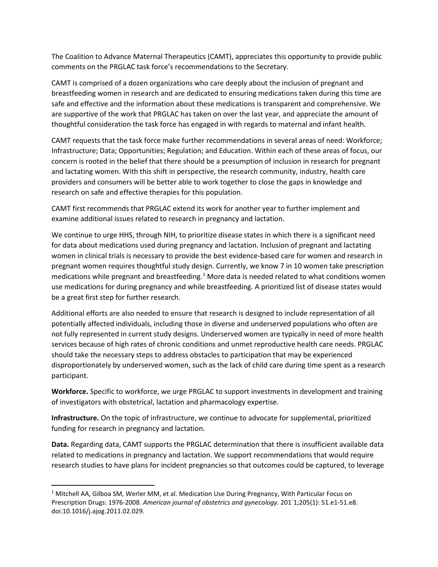The Coalition to Advance Maternal Therapeutics (CAMT), appreciates this opportunity to provide public comments on the PRGLAC task force's recommendations to the Secretary.

CAMT is comprised of a dozen organizations who care deeply about the inclusion of pregnant and breastfeeding women in research and are dedicated to ensuring medications taken during this time are safe and effective and the information about these medications is transparent and comprehensive. We are supportive of the work that PRGLAC has taken on over the last year, and appreciate the amount of thoughtful consideration the task force has engaged in with regards to maternal and infant health.

CAMT requests that the task force make further recommendations in several areas of need: Workforce; Infrastructure; Data; Opportunities; Regulation; and Education. Within each of these areas of focus, our concern is rooted in the belief that there should be a presumption of inclusion in research for pregnant and lactating women. With this shift in perspective, the research community, industry, health care providers and consumers will be better able to work together to close the gaps in knowledge and research on safe and effective therapies for this population.

CAMT first recommends that PRGLAC extend its work for another year to further implement and examine additional issues related to research in pregnancy and lactation.

We continue to urge HHS, through NIH, to prioritize disease states in which there is a significant need for data about medications used during pregnancy and lactation. Inclusion of pregnant and lactating women in clinical trials is necessary to provide the best evidence-based care for women and research in pregnant women requires thoughtful study design. Currently, we know 7 in 10 women take prescription medications while pregnant and breastfeeding.<sup>[1](#page-0-0)</sup> More data is needed related to what conditions women use medications for during pregnancy and while breastfeeding. A prioritized list of disease states would be a great first step for further research.

Additional efforts are also needed to ensure that research is designed to include representation of all potentially affected individuals, including those in diverse and underserved populations who often are not fully represented in current study designs. Underserved women are typically in need of more health services because of high rates of chronic conditions and unmet reproductive health care needs. PRGLAC should take the necessary steps to address obstacles to participation that may be experienced disproportionately by underserved women, such as the lack of child care during time spent as a research participant.

**Workforce.** Specific to workforce, we urge PRGLAC to support investments in development and training of investigators with obstetrical, lactation and pharmacology expertise.

**Infrastructure.** On the topic of infrastructure, we continue to advocate for supplemental, prioritized funding for research in pregnancy and lactation.

**Data.** Regarding data, CAMT supports the PRGLAC determination that there is insufficient available data related to medications in pregnancy and lactation. We support recommendations that would require research studies to have plans for incident pregnancies so that outcomes could be captured, to leverage

l

<span id="page-0-0"></span><sup>&</sup>lt;sup>1</sup> Mitchell AA, Gilboa SM, Werler MM, et al. Medication Use During Pregnancy, With Particular Focus on Prescription Drugs: 1976-2008. *American journal of obstetrics and gynecology.* 201`1;205(1): 51.e1-51.e8. doi:10.1016/j.ajog.2011.02.029.